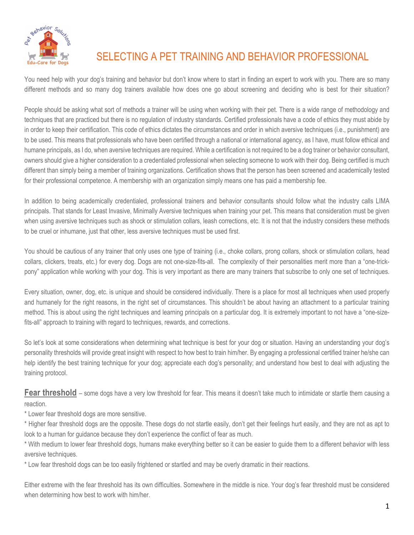

## SELECTING A PET TRAINING AND BEHAVIOR PROFESSIONAL

You need help with your dog's training and behavior but don't know where to start in finding an expert to work with you. There are so many different methods and so many dog trainers available how does one go about screening and deciding who is best for their situation?

People should be asking what sort of methods a trainer will be using when working with their pet. There is a wide range of methodology and techniques that are practiced but there is no regulation of industry standards. Certified professionals have a code of ethics they must abide by in order to keep their certification. This code of ethics dictates the circumstances and order in which aversive techniques (i.e., punishment) are to be used. This means that professionals who have been certified through a national or international agency, as I have, must follow ethical and humane principals, as I do, when aversive techniques are required. While a certification is not required to be a dog trainer or behavior consultant, owners should give a higher consideration to a credentialed professional when selecting someone to work with their dog. Being certified is much different than simply being a member of training organizations. Certification shows that the person has been screened and academically tested for their professional competence. A membership with an organization simply means one has paid a membership fee.

In addition to being academically credentialed, professional trainers and behavior consultants should follow what the industry calls LIMA principals. That stands for Least Invasive, Minimally Aversive techniques when training your pet. This means that consideration must be given when using aversive techniques such as shock or stimulation collars, leash corrections, etc. It is not that the industry considers these methods to be cruel or inhumane, just that other, less aversive techniques must be used first.

You should be cautious of any trainer that only uses one type of training (i.e., choke collars, prong collars, shock or stimulation collars, head collars, clickers, treats, etc.) for every dog. Dogs are not one-size-fits-all. The complexity of their personalities merit more than a "one-trickpony" application while working with your dog. This is very important as there are many trainers that subscribe to only one set of techniques.

Every situation, owner, dog, etc. is unique and should be considered individually. There is a place for most all techniques when used properly and humanely for the right reasons, in the right set of circumstances. This shouldn't be about having an attachment to a particular training method. This is about using the right techniques and learning principals on a particular dog. It is extremely important to not have a "one-sizefits-all" approach to training with regard to techniques, rewards, and corrections.

So let's look at some considerations when determining what technique is best for your dog or situation. Having an understanding your dog's personality thresholds will provide great insight with respect to how best to train him/her. By engaging a professional certified trainer he/she can help identify the best training technique for your dog; appreciate each dog's personality; and understand how best to deal with adjusting the training protocol.

**Fear threshold** – some dogs have a very low threshold for fear. This means it doesn't take much to intimidate or startle them causing a reaction.

\* Lower fear threshold dogs are more sensitive.

\* Higher fear threshold dogs are the opposite. These dogs do not startle easily, don't get their feelings hurt easily, and they are not as apt to look to a human for guidance because they don't experience the conflict of fear as much.

\* With medium to lower fear threshold dogs, humans make everything better so it can be easier to guide them to a different behavior with less aversive techniques.

\* Low fear threshold dogs can be too easily frightened or startled and may be overly dramatic in their reactions.

Either extreme with the fear threshold has its own difficulties. Somewhere in the middle is nice. Your dog's fear threshold must be considered when determining how best to work with him/her.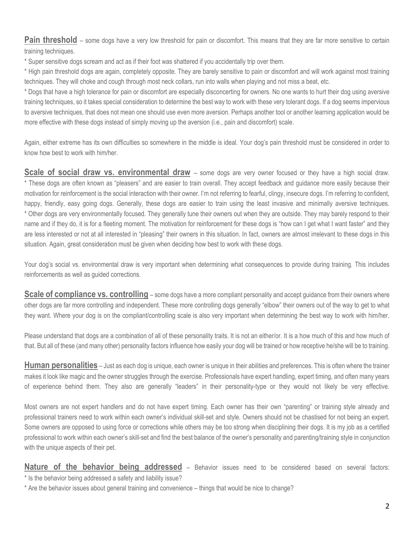**Pain threshold** – some dogs have a very low threshold for pain or discomfort. This means that they are far more sensitive to certain training techniques.

\* Super sensitive dogs scream and act as if their foot was shattered if you accidentally trip over them.

\* High pain threshold dogs are again, completely opposite. They are barely sensitive to pain or discomfort and will work against most training techniques. They will choke and cough through most neck collars, run into walls when playing and not miss a beat, etc.

\* Dogs that have a high tolerance for pain or discomfort are especially disconcerting for owners. No one wants to hurt their dog using aversive training techniques, so it takes special consideration to determine the best way to work with these very tolerant dogs. If a dog seems impervious to aversive techniques, that does not mean one should use even more aversion. Perhaps another tool or another learning application would be more effective with these dogs instead of simply moving up the aversion (i.e., pain and discomfort) scale.

Again, either extreme has its own difficulties so somewhere in the middle is ideal. Your dog's pain threshold must be considered in order to know how best to work with him/her.

**Scale of social draw vs. environmental draw** – some dogs are very owner focused or they have a high social draw. \* These dogs are often known as "pleasers" and are easier to train overall. They accept feedback and guidance more easily because their motivation for reinforcement is the social interaction with their owner. I'm not referring to fearful, clingy, insecure dogs. I'm referring to confident, happy, friendly, easy going dogs. Generally, these dogs are easier to train using the least invasive and minimally aversive techniques. \* Other dogs are very environmentally focused. They generally tune their owners out when they are outside. They may barely respond to their name and if they do, it is for a fleeting moment. The motivation for reinforcement for these dogs is "how can I get what I want faster" and they are less interested or not at all interested in "pleasing" their owners in this situation. In fact, owners are almost irrelevant to these dogs in this situation. Again, great consideration must be given when deciding how best to work with these dogs.

Your dog's social vs. environmental draw is very important when determining what consequences to provide during training. This includes reinforcements as well as guided corrections.

**Scale of compliance vs. controlling** – some dogs have a more compliant personality and accept guidance from their owners where other dogs are far more controlling and independent. These more controlling dogs generally "elbow" their owners out of the way to get to what they want. Where your dog is on the compliant/controlling scale is also very important when determining the best way to work with him/her.

Please understand that dogs are a combination of all of these personality traits. It is not an either/or. It is a how much of this and how much of that. But all of these (and many other) personality factors influence how easily your dog will be trained or how receptive he/she will be to training.

**Human personalities** – Just as each dog is unique, each owner is unique in their abilities and preferences. This is often where the trainer makes it look like magic and the owner struggles through the exercise. Professionals have expert handling, expert timing, and often many years of experience behind them. They also are generally "leaders" in their personality-type or they would not likely be very effective.

Most owners are not expert handlers and do not have expert timing. Each owner has their own "parenting" or training style already and professional trainers need to work within each owner's individual skill-set and style. Owners should not be chastised for not being an expert. Some owners are opposed to using force or corrections while others may be too strong when disciplining their dogs. It is my job as a certified professional to work within each owner's skill-set and find the best balance of the owner's personality and parenting/training style in conjunction with the unique aspects of their pet.

**Nature of the behavior being addressed** – Behavior issues need to be considered based on several factors: \* Is the behavior being addressed a safety and liability issue?

\* Are the behavior issues about general training and convenience – things that would be nice to change?